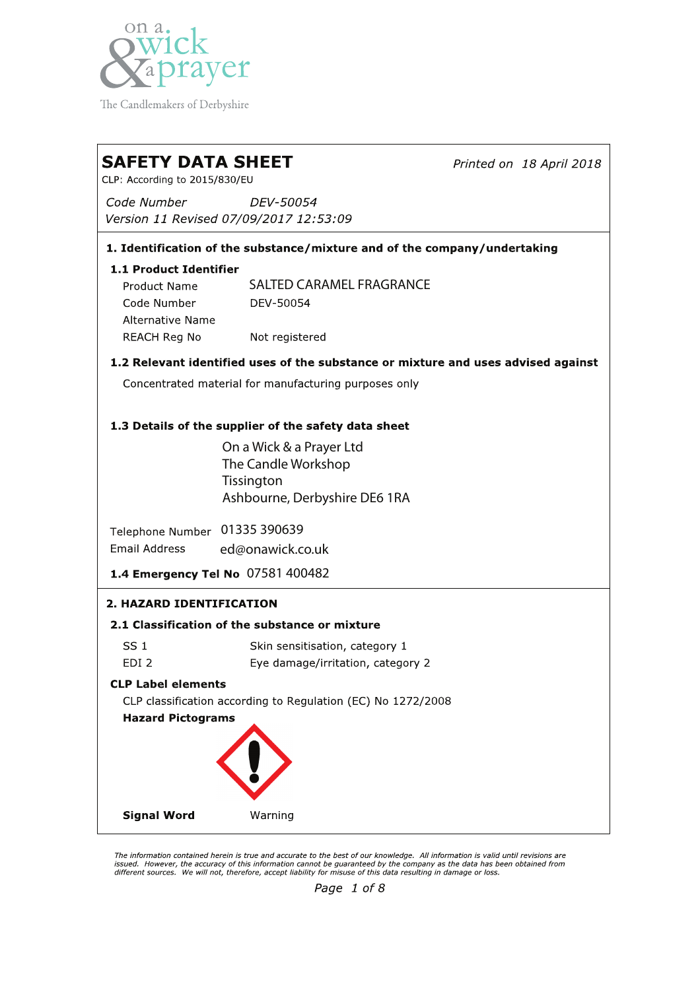

The Candlemakers of Derbyshire

# **SAFETY DATA SHEET** Printed on 18 April 2018 CLP: According to 2015/830/EU Code Number DEV-50054 Version 11 Revised 07/09/2017 12:53:09 1. Identification of the substance/mixture and of the company/undertaking 1.1 Product Identifier SALTED CARAMEL FRAGRANCEProduct Name Code Number DEV-50054 **Alternative Name REACH Reg No** Not registered 1.2 Relevant identified uses of the substance or mixture and uses advised against Concentrated material for manufacturing purposes only 1.3 Details of the supplier of the safety data sheet On a Wick & a Prayer Ltd The Candle Workshop **Tissington** Ashbourne, Derbyshire DE6 1RA Telephone Number 01335 390639 Email Address ed@onawick.co.uk 1.4 Emergency Tel No 07581 400482 2. HAZARD IDENTIFICATION 2.1 Classification of the substance or mixture  $SS<sub>1</sub>$ Skin sensitisation, category 1 Eye damage/irritation, category 2 EDI<sub>2</sub> **CLP Label elements** CLP classification according to Regulation (EC) No 1272/2008 **Hazard Pictograms Signal Word** Warning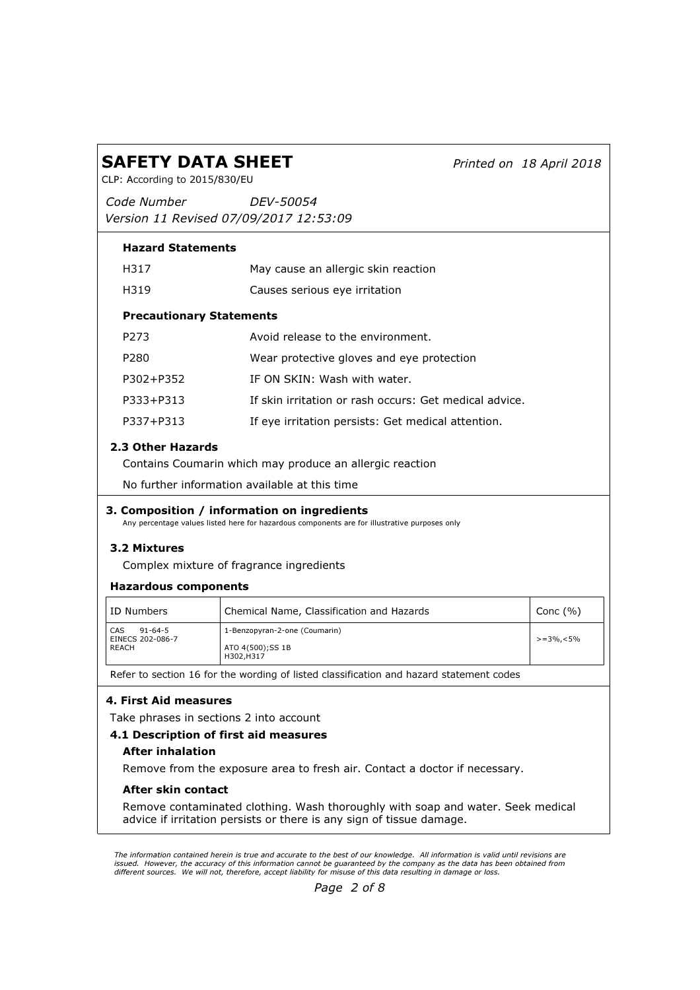Printed on 18 April 2018

CLP: According to 2015/830/EU

Code Number Version 11 Revised 07/09/2017 12:53:09 DEV-50054

| <b>Hazard Statements</b>                                 |                                                                                                                                              |              |
|----------------------------------------------------------|----------------------------------------------------------------------------------------------------------------------------------------------|--------------|
| H317                                                     | May cause an allergic skin reaction                                                                                                          |              |
| H319                                                     | Causes serious eye irritation                                                                                                                |              |
| <b>Precautionary Statements</b>                          |                                                                                                                                              |              |
| P273                                                     | Avoid release to the environment.                                                                                                            |              |
| P280                                                     | Wear protective gloves and eye protection                                                                                                    |              |
| P302+P352                                                | IF ON SKIN: Wash with water.                                                                                                                 |              |
| P333+P313                                                | If skin irritation or rash occurs: Get medical advice.                                                                                       |              |
| P337+P313                                                | If eye irritation persists: Get medical attention.                                                                                           |              |
| 2.3 Other Hazards                                        | Contains Coumarin which may produce an allergic reaction<br>No further information available at this time                                    |              |
|                                                          | 3. Composition / information on ingredients<br>Any percentage values listed here for hazardous components are for illustrative purposes only |              |
| 3.2 Mixtures                                             |                                                                                                                                              |              |
|                                                          | Complex mixture of fragrance ingredients                                                                                                     |              |
| <b>Hazardous components</b>                              |                                                                                                                                              |              |
| <b>ID Numbers</b>                                        | Chemical Name, Classification and Hazards                                                                                                    | Conc $(% )$  |
| $91 - 64 - 5$<br>CAS<br>EINECS 202-086-7<br><b>REACH</b> | 1-Benzopyran-2-one (Coumarin)                                                                                                                | $>=3\%,-5\%$ |
|                                                          | ATO 4(500); SS 1B<br>H302, H317                                                                                                              |              |
|                                                          | Refer to section 16 for the wording of listed classification and hazard statement codes                                                      |              |
| 4. First Aid measures                                    |                                                                                                                                              |              |
| Take phrases in sections 2 into account                  |                                                                                                                                              |              |
|                                                          | 4.1 Description of first aid measures                                                                                                        |              |
| <b>After inhalation</b>                                  |                                                                                                                                              |              |

Remove from the exposure area to fresh air. Contact a doctor if necessary.

## After skin contact

Remove contaminated clothing. Wash thoroughly with soap and water. Seek medical advice if irritation persists or there is any sign of tissue damage.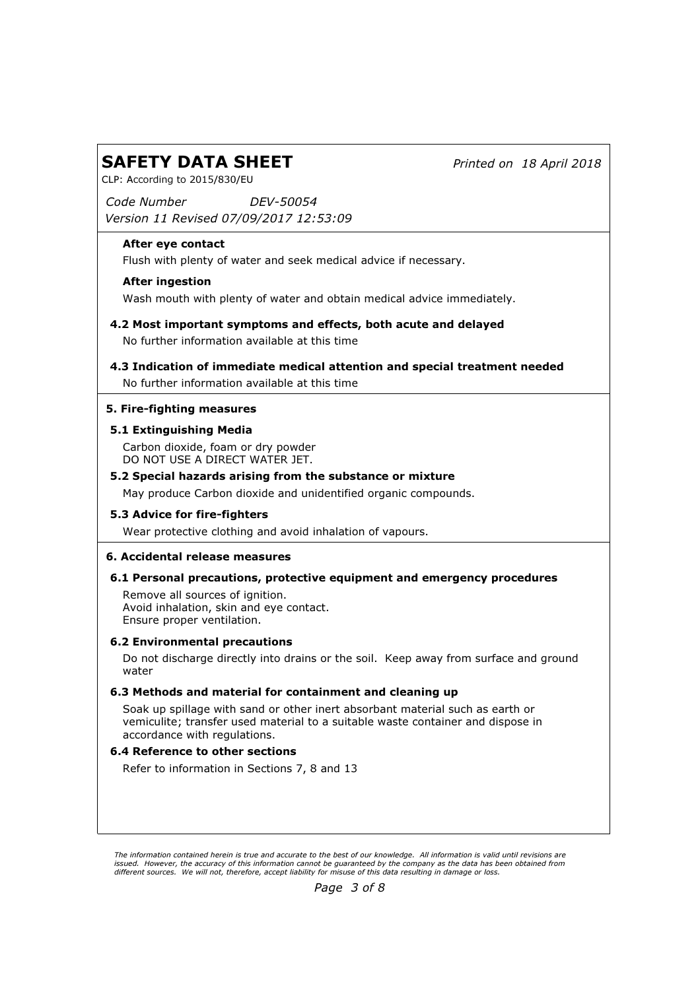Printed on 18 April 2018

CLP: According to 2015/830/EU

Code Number Version 11 Revised 07/09/2017 12:53:09 DEV-50054

# After eye contact

Flush with plenty of water and seek medical advice if necessary.

# After ingestion

Wash mouth with plenty of water and obtain medical advice immediately.

- No further information available at this time 4.2 Most important symptoms and effects, both acute and delayed
- No further information available at this time 4.3 Indication of immediate medical attention and special treatment needed

## 5. Fire-fighting measures

## 5.1 Extinguishing Media

Carbon dioxide, foam or dry powder DO NOT USE A DIRECT WATER JET.

5.2 Special hazards arising from the substance or mixture May produce Carbon dioxide and unidentified organic compounds.

## 5.3 Advice for fire-fighters

Wear protective clothing and avoid inhalation of vapours.

## 6. Accidental release measures

# 6.1 Personal precautions, protective equipment and emergency procedures

Remove all sources of ignition. Avoid inhalation, skin and eye contact. Ensure proper ventilation.

## 6.2 Environmental precautions

Do not discharge directly into drains or the soil. Keep away from surface and ground water

## 6.3 Methods and material for containment and cleaning up

Soak up spillage with sand or other inert absorbant material such as earth or vemiculite; transfer used material to a suitable waste container and dispose in accordance with regulations.

## 6.4 Reference to other sections

Refer to information in Sections 7, 8 and 13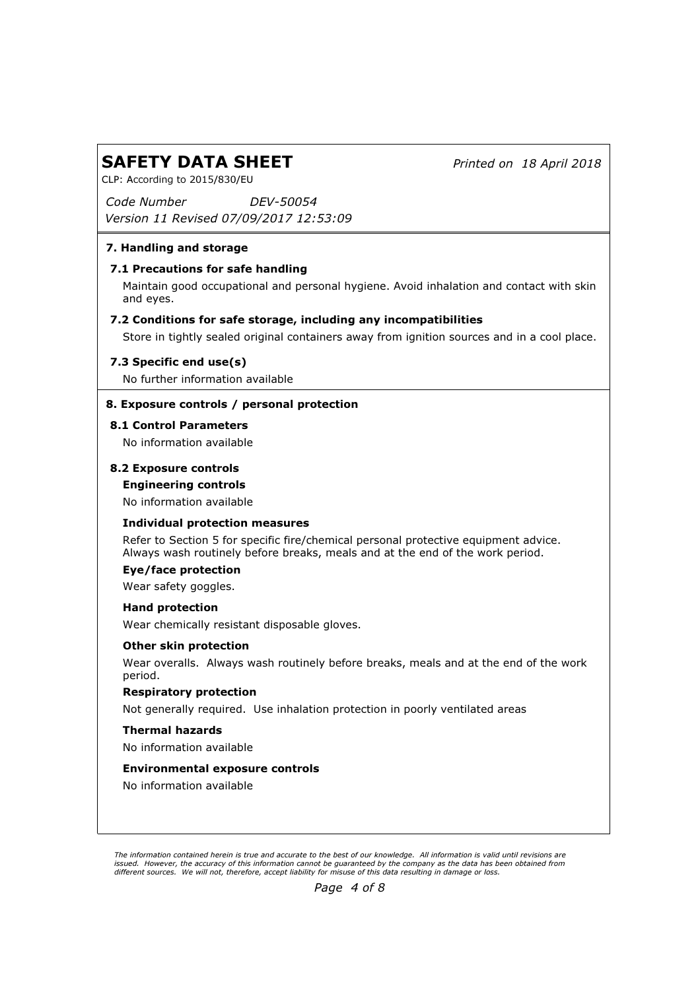Printed on 18 April 2018

CLP: According to 2015/830/EU

Code Number Version 11 Revised 07/09/2017 12:53:09 DEV-50054

# 7. Handling and storage

# 7.1 Precautions for safe handling

Maintain good occupational and personal hygiene. Avoid inhalation and contact with skin and eyes.

# 7.2 Conditions for safe storage, including any incompatibilities

Store in tightly sealed original containers away from ignition sources and in a cool place.

# 7.3 Specific end use(s)

No further information available

# 8. Exposure controls / personal protection

## 8.1 Control Parameters

No information available

## 8.2 Exposure controls

#### Engineering controls

No information available

## Individual protection measures

Refer to Section 5 for specific fire/chemical personal protective equipment advice. Always wash routinely before breaks, meals and at the end of the work period.

## Eye/face protection

Wear safety goggles.

#### Hand protection

Wear chemically resistant disposable gloves.

## Other skin protection

Wear overalls. Always wash routinely before breaks, meals and at the end of the work period.

#### Respiratory protection

Not generally required. Use inhalation protection in poorly ventilated areas

#### Thermal hazards

No information available

#### Environmental exposure controls

No information available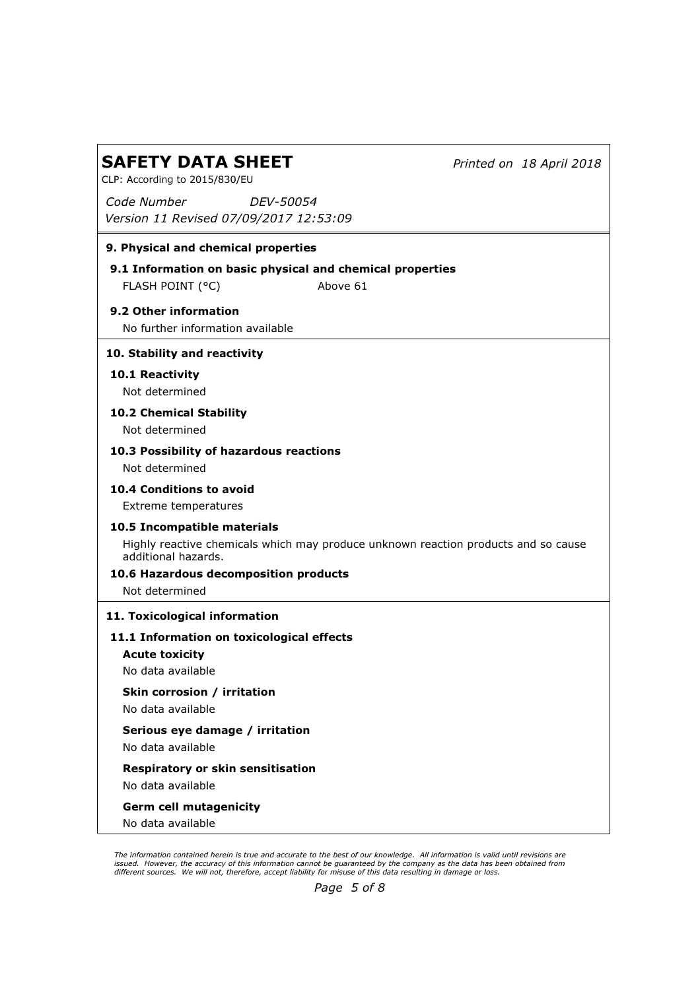Printed on 18 April 2018

CLP: According to 2015/830/EU

Code Number Version 11 Revised 07/09/2017 12:53:09 DEV-50054

# 9. Physical and chemical properties

FLASH POINT (°C) Above 61 9.1 Information on basic physical and chemical properties

# 9.2 Other information

No further information available

# 10. Stability and reactivity

# 10.1 Reactivity

Not determined

# 10.2 Chemical Stability

Not determined

#### 10.3 Possibility of hazardous reactions Not determined

10.4 Conditions to avoid

Extreme temperatures

## 10.5 Incompatible materials

Highly reactive chemicals which may produce unknown reaction products and so cause additional hazards.

# 10.6 Hazardous decomposition products

Not determined

## 11. Toxicological information

## 11.1 Information on toxicological effects

Acute toxicity

No data available

# Skin corrosion / irritation

No data available

# Serious eye damage / irritation

No data available

# Respiratory or skin sensitisation

No data available

## Germ cell mutagenicity

No data available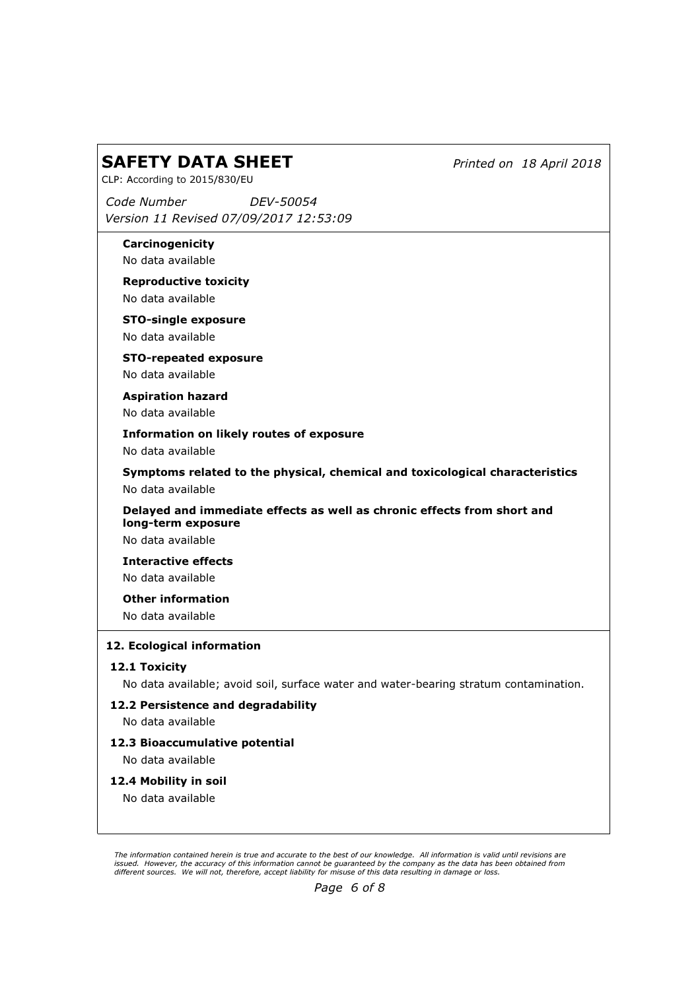Printed on 18 April 2018

CLP: According to 2015/830/EU

Code Number Version 11 Revised 07/09/2017 12:53:09 DEV-50054

Carcinogenicity No data available

Reproductive toxicity No data available

STO-single exposure

No data available

STO-repeated exposure No data available

Aspiration hazard

No data available

Information on likely routes of exposure

No data available

Symptoms related to the physical, chemical and toxicological characteristics No data available

Delayed and immediate effects as well as chronic effects from short and long-term exposure

No data available

Interactive effects No data available

Other information

No data available

## 12. Ecological information

## 12.1 Toxicity

No data available; avoid soil, surface water and water-bearing stratum contamination.

## 12.2 Persistence and degradability

No data available

## 12.3 Bioaccumulative potential

No data available

12.4 Mobility in soil

No data available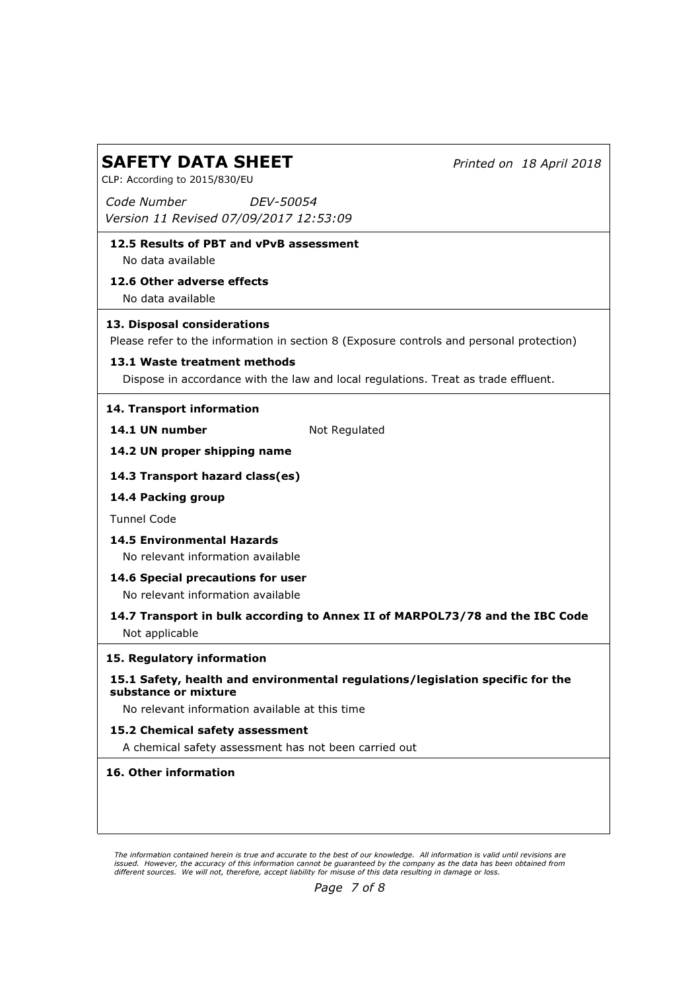Printed on 18 April 2018

CLP: According to 2015/830/EU

Code Number Version 11 Revised 07/09/2017 12:53:09 DEV-50054

# 12.5 Results of PBT and vPvB assessment

No data available

# 12.6 Other adverse effects

No data available

## 13. Disposal considerations

Please refer to the information in section 8 (Exposure controls and personal protection)

# 13.1 Waste treatment methods

Dispose in accordance with the law and local regulations. Treat as trade effluent.

## 14. Transport information

14.1 UN number

Not Regulated

# 14.2 UN proper shipping name

14.3 Transport hazard class(es)

# 14.4 Packing group

Tunnel Code

- 14.5 Environmental Hazards No relevant information available
- 14.6 Special precautions for user

No relevant information available

# 14.7 Transport in bulk according to Annex II of MARPOL73/78 and the IBC Code Not applicable

## 15. Regulatory information

15.1 Safety, health and environmental regulations/legislation specific for the substance or mixture

No relevant information available at this time

# 15.2 Chemical safety assessment

A chemical safety assessment has not been carried out

## 16. Other information

The information contained herein is true and accurate to the best of our knowledge. All information is valid until revisions are issued. However, the accuracy of this information cannot be guaranteed by the company as the data has been obtained from<br>different sources. We will not, therefore, accept liability for misuse of this data resulting in da